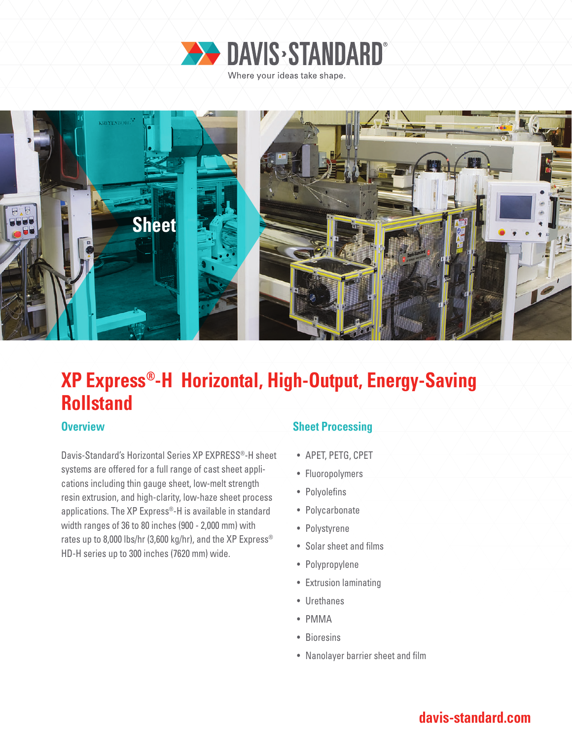

Where your ideas take shape.



# **XP Express®-H Horizontal, High-Output, Energy-Saving Rollstand**

Davis-Standard's Horizontal Series XP EXPRESS®-H sheet systems are offered for a full range of cast sheet applications including thin gauge sheet, low-melt strength resin extrusion, and high-clarity, low-haze sheet process applications. The XP Express®-H is available in standard width ranges of 36 to 80 inches (900 - 2,000 mm) with rates up to 8,000 lbs/hr (3,600 kg/hr), and the XP Express<sup>®</sup> HD-H series up to 300 inches (7620 mm) wide.

### **Overview COVERTY AND Sheet Processing**

- APET, PETG, CPET
- Fluoropolymers
- Polyolefins
- Polycarbonate
- Polystyrene
- Solar sheet and films
- Polypropylene
- Extrusion laminating
- Urethanes
- PMMA
- Bioresins
- Nanolayer barrier sheet and film

### **davis-standard.com**